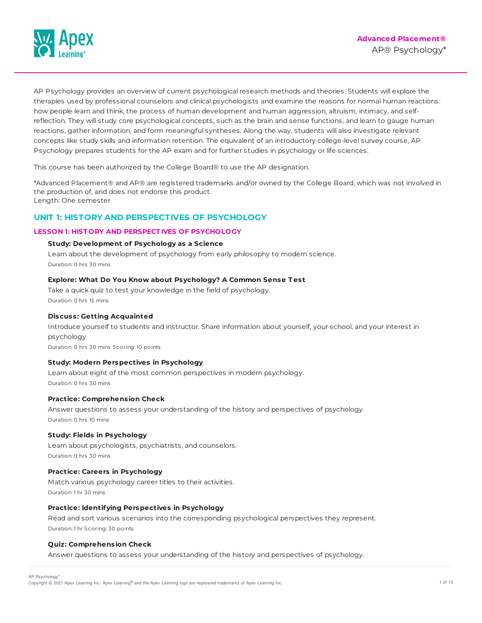

AP Psychology provides an overview of current psychological research methods and theories. Students will explore the therapies used by professional counselors and clinical psychologists and examine the reasons for normal human reactions: how people learn and think, the process of human development and human aggression, altruism, intimacy, and selfreflection. They will study core psychological concepts, such as the brain and sense functions, and learn to gauge human reactions, gather information, and form meaningful syntheses. Along the way, students will also investigate relevant concepts like study skills and information retention. The equivalent of an introductory college-level survey course, AP Psychology prepares students for the AP exam and for further studies in psychology or life sciences.

This course has been authorized by the College Board® to use the AP designation.

\*Advanced Placement® and AP® are registered trademarks and/or owned by the College Board, which was not involved in the production of, and does not endorse this product. Length: One semester

# **UNIT 1: HISTORY AND PERSPECTIVES OF PSYCHOLOGY**

# **LESSON 1: HIST ORY AND PERSPECT IVES OF PSYCHOLOGY**

# **Study: Development of Psychology as a Science**

Learn about the development of psychology from early philosophy to modern science. Duration: 0 hrs 30 mins

# **Explore: What Do You Know about Psychology? A Common Sense T est**

Take a quick quiz to test your knowledge in the field of psychology. Duration: 0 hrs 15 mins

# **Discuss: Getting Acquainted**

Introduce yourself to students and instructor. Share information about yourself, your school, and your interest in psychology Duration: 0 hrs 30 mins Scoring: 10 points

#### **Study: Modern Perspectives in Psychology**

Learn about eight of the most common perspectives in modern psychology. Duration: 0 hrs 30 mins

### **Practice: Comprehension Check**

Answer questions to assess your understanding of the history and perspectives of psychology. Duration: 0 hrs 10 mins

#### **Study: Fields in Psychology**

Learn about psychologists, psychiatrists, and counselors. Duration: 0 hrs 30 mins

# **Practice: Careers in Psychology**

Match various psychology career titles to their activities. Duration: 1 hr 30 mins

# **Practice: Identifying Perspectives in Psychology**

Read and sort various scenarios into the corresponding psychological perspectives they represent. Duration: 1 hr Scoring: 30 points

### **Quiz: Comprehension Check**

Answer questions to assess your understanding of the history and perspectives of psychology.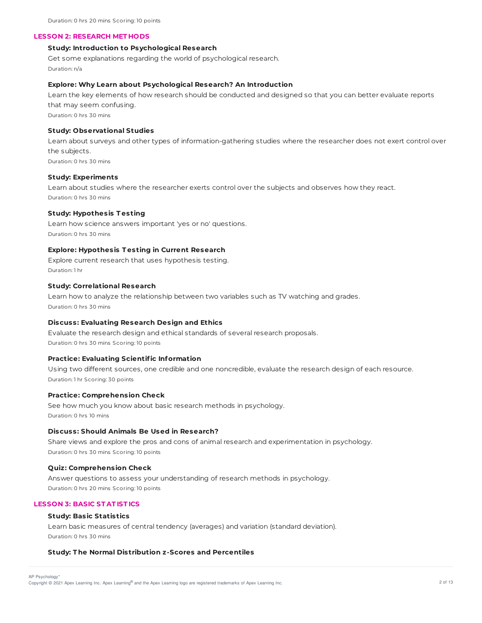#### **LESSON 2: RESEARCH MET HODS**

#### **Study: Introduction to Psychological Research**

Get some explanations regarding the world of psychological research. Duration: n/a

# **Explore: Why Learn about Psychological Research? An Introduction**

Learn the key elements of how research should be conducted and designed so that you can better evaluate reports that may seem confusing. Duration: 0 hrs 30 mins

# **Study: Observational Studies**

Learn about surveys and other types of information-gathering studies where the researcher does not exert control over the subjects.

Duration: 0 hrs 30 mins

# **Study: Experiments**

Learn about studies where the researcher exerts control over the subjects and observes how they react. Duration: 0 hrs 30 mins

#### **Study: Hypothesis T esting**

Learn how science answers important 'yes or no' questions. Duration: 0 hrs 30 mins

# **Explore: Hypothesis T esting in Current Research**

Explore current research that uses hypothesis testing. Duration: 1 hr

#### **Study: Correlational Research**

Learn how to analyze the relationship between two variables such as TV watching and grades. Duration: 0 hrs 30 mins

# **Discuss: Evaluating Research Design and Ethics**

Evaluate the research design and ethical standards of several research proposals. Duration: 0 hrs 30 mins Scoring: 10 points

#### **Practice: Evaluating Scientific Information**

Using two different sources, one credible and one noncredible, evaluate the research design of each resource. Duration: 1 hr Scoring: 30 points

# **Practice: Comprehension Check**

See how much you know about basic research methods in psychology. Duration: 0 hrs 10 mins

# **Discuss: Should Animals Be Used in Research?**

Share views and explore the pros and cons of animal research and experimentation in psychology. Duration: 0 hrs 30 mins Scoring: 10 points

#### **Quiz: Comprehension Check**

Answer questions to assess your understanding of research methods in psychology. Duration: 0 hrs 20 mins Scoring: 10 points

# **LESSON 3: BASIC ST AT IST ICS**

#### **Study: Basic Statistics**

Learn basic measures of central tendency (averages) and variation (standard deviation). Duration: 0 hrs 30 mins

# **Study: T he Normal Distribution z-Scores and Percentiles**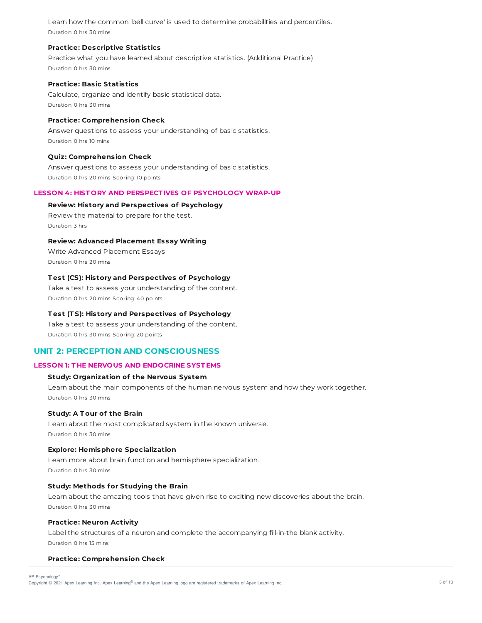Learn how the common 'bell curve' is used to determine probabilities and percentiles. Duration: 0 hrs 30 mins

# **Practice: Descriptive Statistics**

Practice what you have learned about descriptive statistics. (Additional Practice) Duration: 0 hrs 30 mins

# **Practice: Basic Statistics**

Calculate, organize and identify basic statistical data. Duration: 0 hrs 30 mins

# **Practice: Comprehension Check**

Answer questions to assess your understanding of basic statistics. Duration: 0 hrs 10 mins

# **Quiz: Comprehension Check**

Answer questions to assess your understanding of basic statistics. Duration: 0 hrs 20 mins Scoring: 10 points

# **LESSON 4: HIST ORY AND PERSPECT IVES OF PSYCHOLOGY WRAP-UP**

**Review: History and Perspectives of Psychology**

Review the material to prepare for the test. Duration: 3 hrs

# **Review: Advanced Placement Essay Writing**

Write Advanced Placement Essays Duration: 0 hrs 20 mins

# **T est (CS): History and Perspectives of Psychology**

Take a test to assess your understanding of the content. Duration: 0 hrs 20 mins Scoring: 40 points

# **T est (T S): History and Perspectives of Psychology**

Take a test to assess your understanding of the content. Duration: 0 hrs 30 mins Scoring: 20 points

# **UNIT 2: PERCEPTION AND CONSCIOUSNESS**

# **LESSON 1: T HE NERVOUS AND ENDOCRINE SYST EMS**

# **Study: Organization of the Nervous System**

Learn about the main components of the human nervous system and how they work together. Duration: 0 hrs 30 mins

#### **Study: A T our of the Brain**

Learn about the most complicated system in the known universe. Duration: 0 hrs 30 mins

# **Explore: Hemisphere Specialization**

Learn more about brain function and hemisphere specialization. Duration: 0 hrs 30 mins

# **Study: Methods for Studying the Brain**

Learn about the amazing tools that have given rise to exciting new discoveries about the brain. Duration: 0 hrs 30 mins

### **Practice: Neuron Activity**

Label the structures of a neuron and complete the accompanying fill-in-the blank activity. Duration: 0 hrs 15 mins

#### **Practice: Comprehension Check**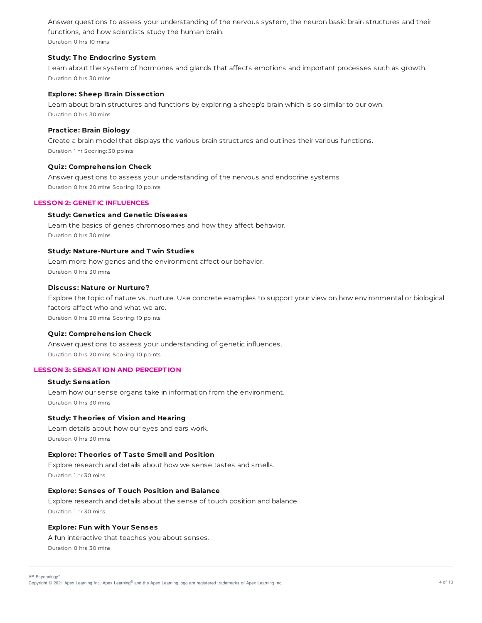Answer questions to assess your understanding of the nervous system, the neuron basic brain structures and their functions, and how scientists study the human brain. Duration: 0 hrs 10 mins

# **Study: T he Endocrine System**

Learn about the system of hormones and glands that affects emotions and important processes such as growth. Duration: 0 hrs 30 mins

## **Explore: Sheep Brain Dissection**

Learn about brain structures and functions by exploring a sheep's brain which is so similar to our own. Duration: 0 hrs 30 mins

#### **Practice: Brain Biology**

Create a brain model that displays the various brain structures and outlines their various functions. Duration: 1 hr Scoring: 30 points

#### **Quiz: Comprehension Check**

Answer questions to assess your understanding of the nervous and endocrine systems Duration: 0 hrs 20 mins Scoring: 10 points

#### **LESSON 2: GENET IC INFLUENCES**

## **Study: Genetics and Genetic Diseases**

Learn the basics of genes chromosomes and how they affect behavior. Duration: 0 hrs 30 mins

# **Study: Nature-Nurture and T win Studies**

Learn more how genes and the environment affect our behavior. Duration: 0 hrs 30 mins

# **Discuss: Nature or Nurture?**

Explore the topic of nature vs. nurture. Use concrete examples to support your view on how environmental or biological factors affect who and what we are. Duration: 0 hrs 30 mins Scoring: 10 points

#### **Quiz: Comprehension Check**

Answer questions to assess your understanding of genetic influences. Duration: 0 hrs 20 mins Scoring: 10 points

### **LESSON 3: SENSAT ION AND PERCEPT ION**

# **Study: Sensation**

Learn how our sense organs take in information from the environment. Duration: 0 hrs 30 mins

#### **Study: T heories of Vision and Hearing**

Learn details about how our eyes and ears work. Duration: 0 hrs 30 mins

### **Explore: T heories of T aste Smell and Position**

Explore research and details about how we sense tastes and smells. Duration: 1 hr 30 mins

#### **Explore: Senses of T ouch Position and Balance**

Explore research and details about the sense of touch position and balance. Duration: 1 hr 30 mins

#### **Explore: Fun with Your Senses**

A fun interactive that teaches you about senses. Duration: 0 hrs 30 mins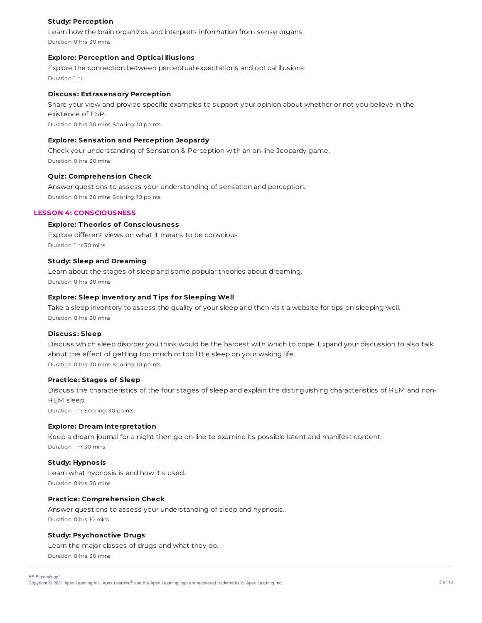# **Study: Perception**

Learn how the brain organizes and interprets information from sense organs. Duration: 0 hrs 30 mins

# **Explore: Perception and Optical Illusions**

Explore the connection between perceptual expectations and optical illusions. Duration: 1 hr

# **Discuss: Extrasensory Perception**

Share your view and provide specific examples to support your opinion about whether or not you believe in the existence of ESP.

Duration: 0 hrs 30 mins Scoring: 10 points

# **Explore: Sensation and Perception Jeopardy**

Check your understanding of Sensation & Perception with an on-line Jeopardy game. Duration: 0 hrs 30 mins

#### **Quiz: Comprehension Check**

Answer questions to assess your understanding of sensation and perception. Duration: 0 hrs 20 mins Scoring: 10 points

# **LESSON 4: CONSCIOUSNESS**

# **Explore: T heories of Consciousness**

Explore different views on what it means to be conscious. Duration: 1 hr 30 mins

#### **Study: Sleep and Dreaming**

Learn about the stages of sleep and some popular theories about dreaming. Duration: 0 hrs 30 mins

# **Explore: Sleep Inventory and T ips for Sleeping Well**

Take a sleep inventory to assess the quality of your sleep and then visit a website for tips on sleeping well. Duration: 0 hrs 30 mins

#### **Discuss: Sleep**

Discuss which sleep disorder you think would be the hardest with which to cope. Expand your discussion to also talk about the effect of getting too much or too little sleep on your waking life. Duration: 0 hrs 30 mins Scoring: 10 points

### **Practice: Stages of Sleep**

Discuss the characteristics of the four stages of sleep and explain the distinguishing characteristics of REM and non-REM sleep. Duration: 1 hr Scoring: 30 points

#### **Explore: Dream Interpretation**

Keep a dream journal for a night then go on-line to examine its possible latent and manifest content. Duration: 1 hr 30 mins

#### **Study: Hypnosis**

Learn what hypnosis is and how it's used. Duration: 0 hrs 30 mins

# **Practice: Comprehension Check**

Answer questions to assess your understanding of sleep and hypnosis. Duration: 0 hrs 10 mins

### **Study: Psychoactive Drugs**

Learn the major classes of drugs and what they do. Duration: 0 hrs 30 mins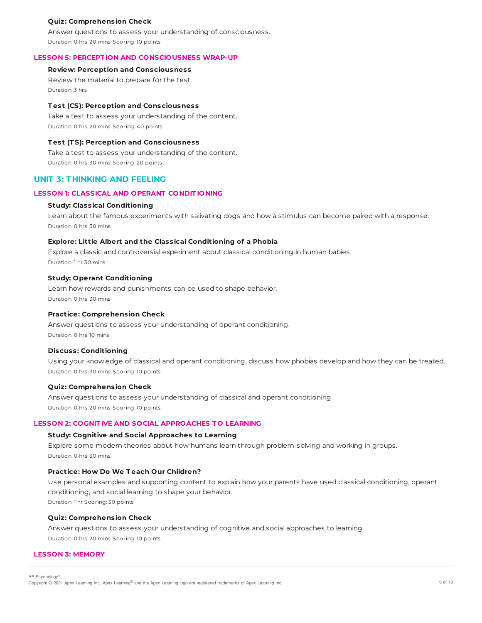### **Quiz: Comprehension Check**

Answer questions to assess your understanding of consciousness. Duration: 0 hrs 20 mins Scoring: 10 points

#### **LESSON 5: PERCEPT ION AND CONSCIOUSNESS WRAP-UP**

### **Review: Perception and Consciousness**

Review the material to prepare for the test. Duration: 3 hrs

#### **T est (CS): Perception and Consciousness**

Take a test to assess your understanding of the content. Duration: 0 hrs 20 mins Scoring: 40 points

# **T est (T S): Perception and Consciousness**

Take a test to assess your understanding of the content. Duration: 0 hrs 30 mins Scoring: 20 points

# **UNIT 3: THINKING AND FEELING**

# **LESSON 1: CLASSICAL AND OPERANT CONDIT IONING**

#### **Study: Classical Conditioning**

Learn about the famous experiments with salivating dogs and how a stimulus can become paired with a response. Duration: 0 hrs 30 mins

# **Explore: Little Albert and the Classical Conditioning of a Phobia**

Explore a classic and controversial experiment about classical conditioning in human babies. Duration: 1 hr 30 mins

# **Study: Operant Conditioning**

Learn how rewards and punishments can be used to shape behavior. Duration: 0 hrs 30 mins

# **Practice: Comprehension Check**

Answer questions to assess your understanding of operant conditioning. Duration: 0 hrs 10 mins

## **Discuss: Conditioning**

Using your knowledge of classical and operant conditioning, discuss how phobias develop and how they can be treated. Duration: 0 hrs 30 mins Scoring: 10 points

#### **Quiz: Comprehension Check**

Answer questions to assess your understanding of classical and operant conditioning Duration: 0 hrs 20 mins Scoring: 10 points

# **LESSON 2: COGNIT IVE AND SOCIAL APPROACHES T O LEARNING**

#### **Study: Cognitive and Social Approaches to Learning**

Explore some modern theories about how humans learn through problem-solving and working in groups. Duration: 0 hrs 30 mins

#### **Practice: How Do We T each Our Children?**

Use personal examples and supporting content to explain how your parents have used classical conditioning, operant conditioning, and social learning to shape your behavior. Duration: 1 hr Scoring: 30 points

# **Quiz: Comprehension Check**

Answer questions to assess your understanding of cognitive and social approaches to learning. Duration: 0 hrs 20 mins Scoring: 10 points

# **LESSON 3: MEMORY**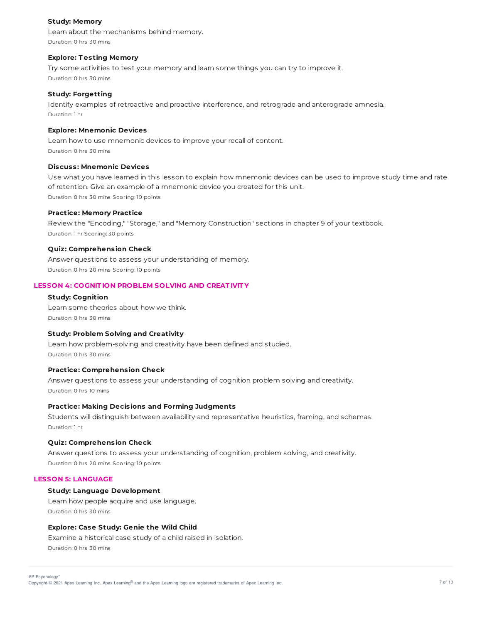# **Study: Memory**

Learn about the mechanisms behind memory. Duration: 0 hrs 30 mins

# **Explore: T esting Memory**

Try some activities to test your memory and learn some things you can try to improve it. Duration: 0 hrs 30 mins

### **Study: Forgetting**

Identify examples of retroactive and proactive interference, and retrograde and anterograde amnesia. Duration: 1 hr

# **Explore: Mnemonic Devices**

Learn how to use mnemonic devices to improve your recall of content. Duration: 0 hrs 30 mins

## **Discuss: Mnemonic Devices**

Use what you have learned in this lesson to explain how mnemonic devices can be used to improve study time and rate of retention. Give an example of a mnemonic device you created for this unit. Duration: 0 hrs 30 mins Scoring: 10 points

# **Practice: Memory Practice**

Review the "Encoding," "Storage," and "Memory Construction" sections in chapter 9 of your textbook. Duration: 1 hr Scoring: 30 points

# **Quiz: Comprehension Check**

Answer questions to assess your understanding of memory. Duration: 0 hrs 20 mins Scoring: 10 points

# **LESSON 4: COGNIT ION PROBLEM SOLVING AND CREAT IVIT Y**

# **Study: Cognition**

Learn some theories about how we think. Duration: 0 hrs 30 mins

# **Study: Problem Solving and Creativity**

Learn how problem-solving and creativity have been defined and studied. Duration: 0 hrs 30 mins

# **Practice: Comprehension Check**

Answer questions to assess your understanding of cognition problem solving and creativity. Duration: 0 hrs 10 mins

# **Practice: Making Decisions and Forming Judgments**

Students will distinguish between availability and representative heuristics, framing, and schemas. Duration: 1 hr

#### **Quiz: Comprehension Check**

Answer questions to assess your understanding of cognition, problem solving, and creativity. Duration: 0 hrs 20 mins Scoring: 10 points

#### **LESSON 5: LANGUAGE**

# **Study: Language Development**

Learn how people acquire and use language. Duration: 0 hrs 30 mins

# **Explore: Case Study: Genie the Wild Child**

Examine a historical case study of a child raised in isolation. Duration: 0 hrs 30 mins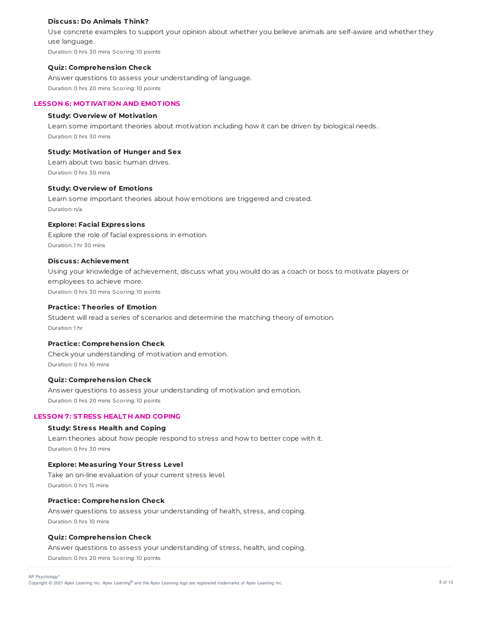# **Discuss: Do Animals T hink?**

Use concrete examples to support your opinion about whether you believe animals are self-aware and whether they use language.

Duration: 0 hrs 30 mins Scoring: 10 points

#### **Quiz: Comprehension Check**

Answer questions to assess your understanding of language. Duration: 0 hrs 20 mins Scoring: 10 points

# **LESSON 6: MOT IVAT ION AND EMOT IONS**

# **Study: Overview of Motivation**

Learn some important theories about motivation including how it can be driven by biological needs. Duration: 0 hrs 30 mins

#### **Study: Motivation of Hunger and Sex**

Learn about two basic human drives. Duration: 0 hrs 30 mins

#### **Study: Overview of Emotions**

Learn some important theories about how emotions are triggered and created. Duration: n/a

# **Explore: Facial Expressions**

Explore the role of facial expressions in emotion. Duration: 1 hr 30 mins

#### **Discuss: Achievement**

Using your knowledge of achievement, discuss what you would do as a coach or boss to motivate players or employees to achieve more. Duration: 0 hrs 30 mins Scoring: 10 points

## **Practice: T heories of Emotion**

Student will read a series of scenarios and determine the matching theory of emotion. Duration: 1 hr

# **Practice: Comprehension Check**

Check your understanding of motivation and emotion. Duration: 0 hrs 10 mins

# **Quiz: Comprehension Check**

Answer questions to assess your understanding of motivation and emotion. Duration: 0 hrs 20 mins Scoring: 10 points

# **LESSON 7: ST RESS HEALT H AND COPING**

# **Study: Stress Health and Coping**

Learn theories about how people respond to stress and how to better cope with it. Duration: 0 hrs 30 mins

### **Explore: Measuring Your Stress Level**

Take an on-line evaluation of your current stress level. Duration: 0 hrs 15 mins

#### **Practice: Comprehension Check**

Answer questions to assess your understanding of health, stress, and coping. Duration: 0 hrs 10 mins

#### **Quiz: Comprehension Check**

Answer questions to assess your understanding of stress, health, and coping. Duration: 0 hrs 20 mins Scoring: 10 points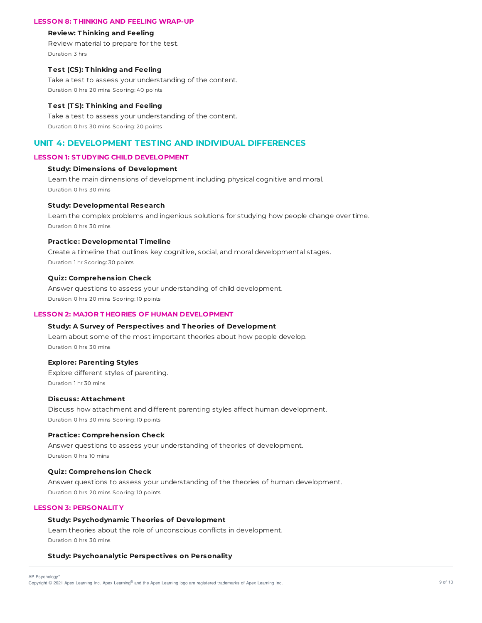### **LESSON 8: T HINKING AND FEELING WRAP-UP**

#### **Review: T hinking and Feeling**

Review material to prepare for the test. Duration: 3 hrs

# **T est (CS): T hinking and Feeling**

Take a test to assess your understanding of the content. Duration: 0 hrs 20 mins Scoring: 40 points

#### **T est (T S): T hinking and Feeling**

Take a test to assess your understanding of the content. Duration: 0 hrs 30 mins Scoring: 20 points

# **UNIT 4: DEVELOPMENT TESTING AND INDIVIDUAL DIFFERENCES**

# **LESSON 1: ST UDYING CHILD DEVELOPMENT**

# **Study: Dimensions of Development**

Learn the main dimensions of development including physical cognitive and moral. Duration: 0 hrs 30 mins

#### **Study: Developmental Research**

Learn the complex problems and ingenious solutions for studying how people change over time. Duration: 0 hrs 30 mins

# **Practice: Developmental T imeline**

Create a timeline that outlines key cognitive, social, and moral developmental stages. Duration: 1 hr Scoring: 30 points

#### **Quiz: Comprehension Check**

Answer questions to assess your understanding of child development. Duration: 0 hrs 20 mins Scoring: 10 points

#### **LESSON 2: MAJOR T HEORIES OF HUMAN DEVELOPMENT**

# **Study: A Survey of Perspectives and T heories of Development**

Learn about some of the most important theories about how people develop. Duration: 0 hrs 30 mins

#### **Explore: Parenting Styles**

Explore different styles of parenting. Duration: 1 hr 30 mins

#### **Discuss: Attachment**

Discuss how attachment and different parenting styles affect human development. Duration: 0 hrs 30 mins Scoring: 10 points

#### **Practice: Comprehension Check**

Answer questions to assess your understanding of theories of development. Duration: 0 hrs 10 mins

# **Quiz: Comprehension Check**

Answer questions to assess your understanding of the theories of human development. Duration: 0 hrs 20 mins Scoring: 10 points

# **LESSON 3: PERSONALIT Y**

# **Study: Psychodynamic T heories of Development**

Learn theories about the role of unconscious conflicts in development. Duration: 0 hrs 30 mins

#### **Study: Psychoanalytic Perspectives on Personality**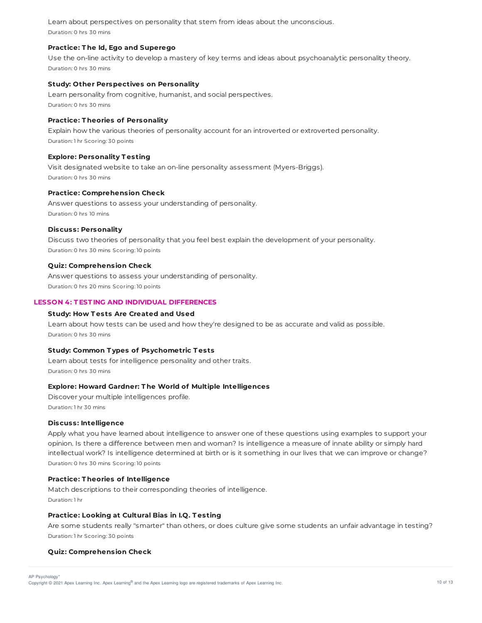Learn about perspectives on personality that stem from ideas about the unconscious. Duration: 0 hrs 30 mins

# **Practice: T he Id, Ego and Superego**

Use the on-line activity to develop a mastery of key terms and ideas about psychoanalytic personality theory. Duration: 0 hrs 30 mins

# **Study: Other Perspectives on Personality**

Learn personality from cognitive, humanist, and social perspectives. Duration: 0 hrs 30 mins

# **Practice: T heories of Personality**

Explain how the various theories of personality account for an introverted or extroverted personality. Duration: 1 hr Scoring: 30 points

# **Explore: Personality T esting**

Visit designated website to take an on-line personality assessment (Myers-Briggs). Duration: 0 hrs 30 mins

#### **Practice: Comprehension Check**

Answer questions to assess your understanding of personality. Duration: 0 hrs 10 mins

## **Discuss: Personality**

Discuss two theories of personality that you feel best explain the development of your personality. Duration: 0 hrs 30 mins Scoring: 10 points

# **Quiz: Comprehension Check**

Answer questions to assess your understanding of personality. Duration: 0 hrs 20 mins Scoring: 10 points

# **LESSON 4: T EST ING AND INDIVIDUAL DIFFERENCES**

# **Study: How T ests Are Created and Used**

Learn about how tests can be used and how they're designed to be as accurate and valid as possible. Duration: 0 hrs 30 mins

### **Study: Common T ypes of Psychometric T ests**

Learn about tests for intelligence personality and other traits. Duration: 0 hrs 30 mins

# **Explore: Howard Gardner: T he World of Multiple Intelligences**

Discover your multiple intelligences profile. Duration: 1 hr 30 mins

# **Discuss: Intelligence**

Apply what you have learned about intelligence to answer one of these questions using examples to support your opinion. Is there a difference between men and woman? Is intelligence a measure of innate ability or simply hard intellectual work? Is intelligence determined at birth or is it something in our lives that we can improve or change? Duration: 0 hrs 30 mins Scoring: 10 points

# **Practice: T heories of Intelligence**

Match descriptions to their corresponding theories of intelligence. Duration: 1 hr

### **Practice: Looking at Cultural Bias in I.Q. T esting**

Are some students really "smarter" than others, or does culture give some students an unfair advantage in testing? Duration: 1 hr Scoring: 30 points

### **Quiz: Comprehension Check**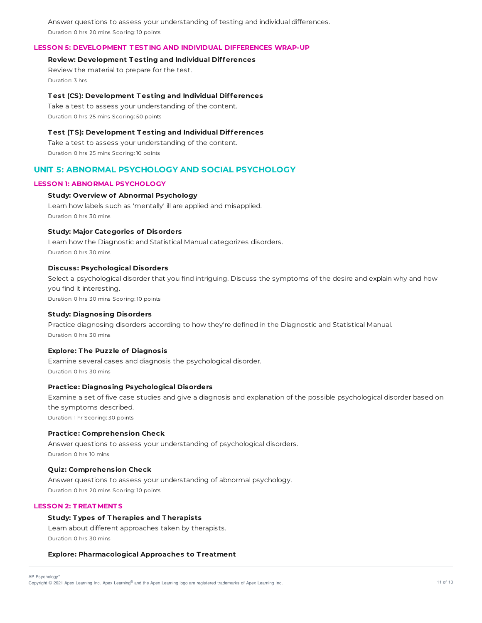Answer questions to assess your understanding of testing and individual differences. Duration: 0 hrs 20 mins Scoring: 10 points

### **LESSON 5: DEVELOPMENT T EST ING AND INDIVIDUAL DIFFERENCES WRAP-UP**

# **Review: Development T esting and Individual Differences**

Review the material to prepare for the test. Duration: 3 hrs

# **T est (CS): Development T esting and Individual Differences**

Take a test to assess your understanding of the content. Duration: 0 hrs 25 mins Scoring: 50 points

# **T est (T S): Development T esting and Individual Differences**

Take a test to assess your understanding of the content. Duration: 0 hrs 25 mins Scoring: 10 points

# **UNIT 5: ABNORMAL PSYCHOLOGY AND SOCIAL PSYCHOLOGY**

# **LESSON 1: ABNORMAL PSYCHOLOGY**

# **Study: Overview of Abnormal Psychology**

Learn how labels such as 'mentally' ill are applied and misapplied. Duration: 0 hrs 30 mins

#### **Study: Major Categories of Disorders**

Learn how the Diagnostic and Statistical Manual categorizes disorders. Duration: 0 hrs 30 mins

# **Discuss: Psychological Disorders**

Select a psychological disorder that you find intriguing. Discuss the symptoms of the desire and explain why and how you find it interesting. Duration: 0 hrs 30 mins Scoring: 10 points

### **Study: Diagnosing Disorders**

Practice diagnosing disorders according to how they're defined in the Diagnostic and Statistical Manual. Duration: 0 hrs 30 mins

## **Explore: T he Puzzle of Diagnosis**

Examine several cases and diagnosis the psychological disorder. Duration: 0 hrs 30 mins

### **Practice: Diagnosing Psychological Disorders**

Examine a set of five case studies and give a diagnosis and explanation of the possible psychological disorder based on the symptoms described.

Duration: 1 hr Scoring: 30 points

#### **Practice: Comprehension Check**

Answer questions to assess your understanding of psychological disorders. Duration: 0 hrs 10 mins

#### **Quiz: Comprehension Check**

Answer questions to assess your understanding of abnormal psychology. Duration: 0 hrs 20 mins Scoring: 10 points

# **LESSON 2: T REAT MENT S**

# **Study: T ypes of T herapies and T herapists**

Learn about different approaches taken by therapists. Duration: 0 hrs 30 mins

### **Explore: Pharmacological Approaches to T reatment**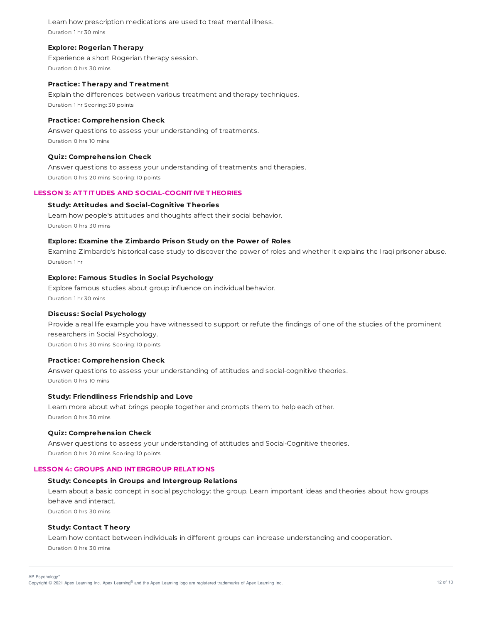Learn how prescription medications are used to treat mental illness. Duration: 1 hr 30 mins

# **Explore: Rogerian T herapy**

Experience a short Rogerian therapy session. Duration: 0 hrs 30 mins

# **Practice: T herapy and T reatment**

Explain the differences between various treatment and therapy techniques. Duration: 1 hr Scoring: 30 points

# **Practice: Comprehension Check**

Answer questions to assess your understanding of treatments. Duration: 0 hrs 10 mins

# **Quiz: Comprehension Check**

Answer questions to assess your understanding of treatments and therapies. Duration: 0 hrs 20 mins Scoring: 10 points

# **LESSON 3: AT T IT UDES AND SOCIAL-COGNIT IVE T HEORIES**

# **Study: Attitudes and Social-Cognitive T heories**

Learn how people's attitudes and thoughts affect their social behavior. Duration: 0 hrs 30 mins

# **Explore: Examine the Zimbardo Prison Study on the Power of Roles**

Examine Zimbardo's historical case study to discover the power of roles and whether it explains the Iraqi prisoner abuse. Duration: 1 hr

# **Explore: Famous Studies in Social Psychology**

Explore famous studies about group influence on individual behavior. Duration: 1 hr 30 mins

# **Discuss: Social Psychology**

Provide a real life example you have witnessed to support or refute the findings of one of the studies of the prominent researchers in Social Psychology. Duration: 0 hrs 30 mins Scoring: 10 points

#### **Practice: Comprehension Check**

Answer questions to assess your understanding of attitudes and social-cognitive theories. Duration: 0 hrs 10 mins

# **Study: Friendliness Friendship and Love**

Learn more about what brings people together and prompts them to help each other. Duration: 0 hrs 30 mins

#### **Quiz: Comprehension Check**

Answer questions to assess your understanding of attitudes and Social-Cognitive theories. Duration: 0 hrs 20 mins Scoring: 10 points

# **LESSON 4: GROUPS AND INT ERGROUP RELAT IONS**

# **Study: Concepts in Groups and Intergroup Relations**

Learn about a basic concept in social psychology: the group. Learn important ideas and theories about how groups behave and interact.

Duration: 0 hrs 30 mins

# **Study: Contact T heory**

Learn how contact between individuals in different groups can increase understanding and cooperation. Duration: 0 hrs 30 mins